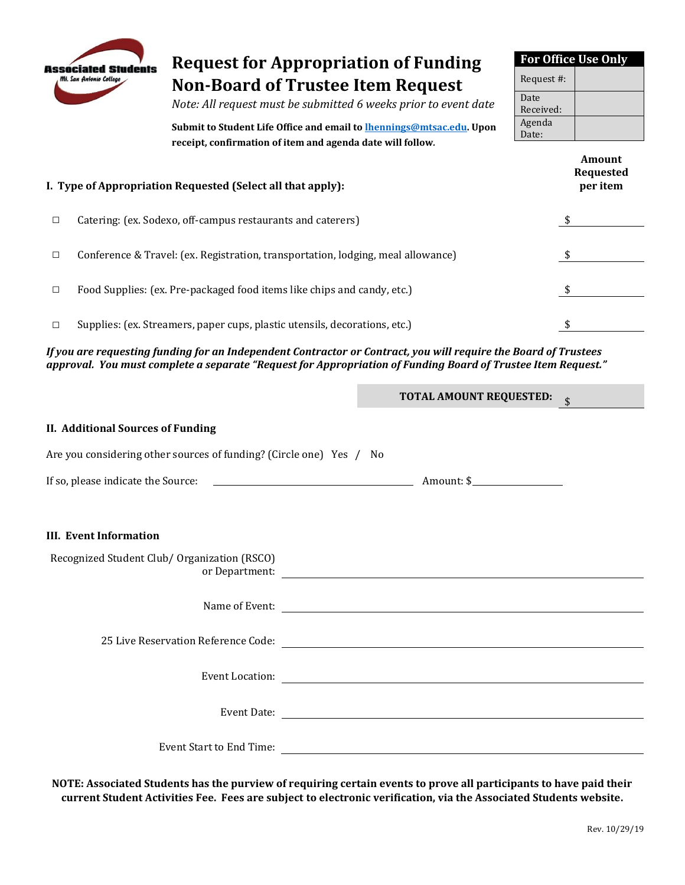

## **Request for Appropriation of Funding Non-Board of Trustee Item Request**

*Note: All request must be submitted 6 weeks prior to event date* 

 **Submit to Student Life Office and email t[o lhennings@mtsac.edu.](mailto:lhennings@mtsac.edu) Upon receipt, confirmation of item and agenda date will follow***.* 

| <b>For Office Use Only</b> |  |  |  |  |  |  |
|----------------------------|--|--|--|--|--|--|
| Request #:                 |  |  |  |  |  |  |
| Date                       |  |  |  |  |  |  |
| Received:                  |  |  |  |  |  |  |
| Agenda                     |  |  |  |  |  |  |
| Date:                      |  |  |  |  |  |  |

| I. Type of Appropriation Requested (Select all that apply): |                                                                                  |  |  |  |  |  |
|-------------------------------------------------------------|----------------------------------------------------------------------------------|--|--|--|--|--|
| □                                                           | Catering: (ex. Sodexo, off-campus restaurants and caterers)                      |  |  |  |  |  |
| □                                                           | Conference & Travel: (ex. Registration, transportation, lodging, meal allowance) |  |  |  |  |  |
| □                                                           | Food Supplies: (ex. Pre-packaged food items like chips and candy, etc.)          |  |  |  |  |  |
| □                                                           | Supplies: (ex. Streamers, paper cups, plastic utensils, decorations, etc.)       |  |  |  |  |  |

 *If you are requesting funding for an Independent Contractor or Contract, you will require the Board of Trustees approval. You must complete a separate "Request for Appropriation of Funding Board of Trustee Item Request."*

|                                                                         | <b>TOTAL AMOUNT REQUESTED:</b> |
|-------------------------------------------------------------------------|--------------------------------|
| <b>II. Additional Sources of Funding</b>                                |                                |
| Are you considering other sources of funding? (Circle one) Yes / No     |                                |
|                                                                         |                                |
|                                                                         |                                |
| <b>III.</b> Event Information                                           |                                |
| Recognized Student Club/ Organization (RSCO)                            |                                |
|                                                                         |                                |
| 25 Live Reservation Reference Code: 25 Live Reservation Reference Code: |                                |
|                                                                         |                                |
|                                                                         |                                |
|                                                                         |                                |

 **NOTE: Associated Students has the purview of requiring certain events to prove all participants to have paid their current Student Activities Fee. Fees are subject to electronic verification, via the Associated Students website.**